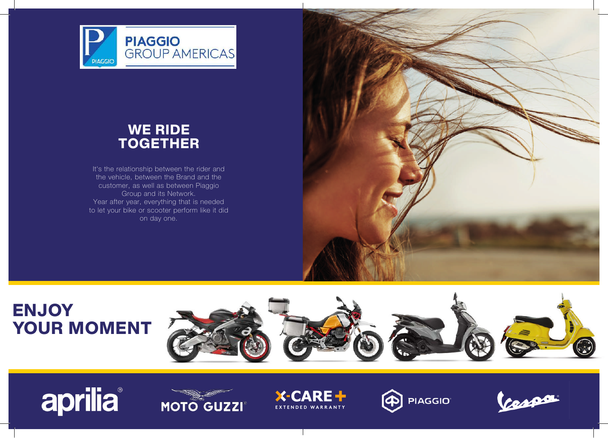

### WE RIDE **TOGETHER**

It's the relationship between the rider and the vehicle, between the Brand and the customer, as well as between Piaggio Group and its Network. Year after year, everything that is needed to let your bike or scooter perform like it did on day one.



## **ENJOY** YOUR MOMENT